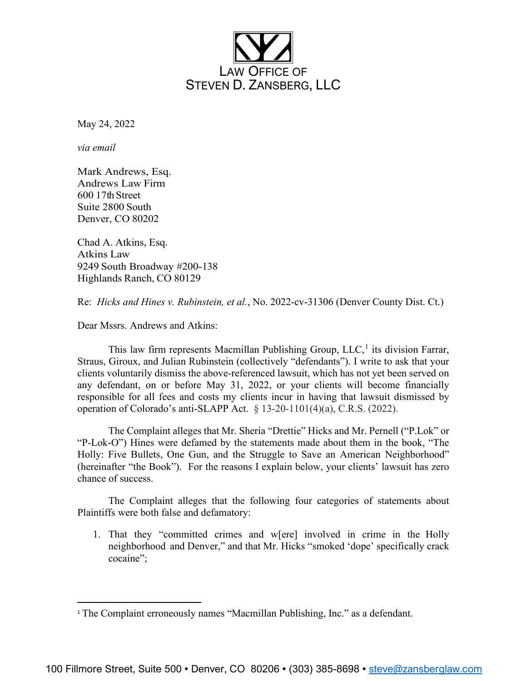

May 24, 2022

*via email*

Mark Andrews, Esq. Andrews Law Firm 600 17th Street Suite 2800 South Denver, CO 80202

Chad A. Atkins, Esq. Atkins Law 9249 South Broadway #200-138 Highlands Ranch, CO 80129

Re: *Hicks and Hines v. Rubinstein, et al.*, No. 2022-cv-31306 (Denver County Dist. Ct.)

Dear Mssrs. Andrews and Atkins:

This law firm represents Macmillan Publishing Group,  $LLC<sub>i</sub><sup>1</sup>$  $LLC<sub>i</sub><sup>1</sup>$  $LLC<sub>i</sub><sup>1</sup>$  its division Farrar, Straus, Giroux, and Julian Rubinstein (collectively "defendants"). I write to ask that your clients voluntarily dismiss the above-referenced lawsuit, which has not yet been served on any defendant, on or before May 31, 2022, or your clients will become financially responsible for all fees and costs my clients incur in having that lawsuit dismissed by operation of Colorado's anti-SLAPP Act. § 13-20-1101(4)(a), C.R.S. (2022).

The Complaint alleges that Mr. Sheria "Drettie" Hicks and Mr. Pernell ("P.Lok" or "P-Lok-O") Hines were defamed by the statements made about them in the book, "The Holly: Five Bullets, One Gun, and the Struggle to Save an American Neighborhood" (hereinafter "the Book"). For the reasons I explain below, your clients' lawsuit has zero chance of success.

The Complaint alleges that the following four categories of statements about Plaintiffs were both false and defamatory:

1. That they "committed crimes and w[ere] involved in crime in the Holly neighborhood and Denver," and that Mr. Hicks "smoked 'dope' specifically crack cocaine";

<span id="page-0-0"></span><sup>&</sup>lt;sup>1</sup> The Complaint erroneously names "Macmillan Publishing, Inc." as a defendant.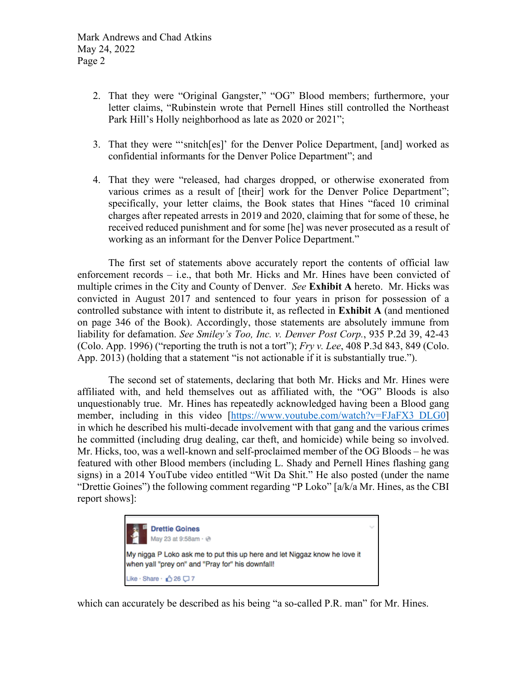- 2. That they were "Original Gangster," "OG" Blood members; furthermore, your letter claims, "Rubinstein wrote that Pernell Hines still controlled the Northeast Park Hill's Holly neighborhood as late as 2020 or 2021";
- 3. That they were "'snitch[es]' for the Denver Police Department, [and] worked as confidential informants for the Denver Police Department"; and
- 4. That they were "released, had charges dropped, or otherwise exonerated from various crimes as a result of [their] work for the Denver Police Department"; specifically, your letter claims, the Book states that Hines "faced 10 criminal charges after repeated arrests in 2019 and 2020, claiming that for some of these, he received reduced punishment and for some [he] was never prosecuted as a result of working as an informant for the Denver Police Department."

The first set of statements above accurately report the contents of official law enforcement records – i.e., that both Mr. Hicks and Mr. Hines have been convicted of multiple crimes in the City and County of Denver. *See* **Exhibit A** hereto. Mr. Hicks was convicted in August 2017 and sentenced to four years in prison for possession of a controlled substance with intent to distribute it, as reflected in **Exhibit A** (and mentioned on page 346 of the Book). Accordingly, those statements are absolutely immune from liability for defamation. *See Smiley's Too, Inc. v. Denver Post Corp.*, 935 P.2d 39, 42-43 (Colo. App. 1996) ("reporting the truth is not a tort"); *Fry v. Lee*, 408 P.3d 843, 849 (Colo. App. 2013) (holding that a statement "is not actionable if it is substantially true.").

The second set of statements, declaring that both Mr. Hicks and Mr. Hines were affiliated with, and held themselves out as affiliated with, the "OG" Bloods is also unquestionably true. Mr. Hines has repeatedly acknowledged having been a Blood gang member, including in this video [https://www.youtube.com/watch?v=FJaFX3 DLG0] in which he described his multi-decade involvement with that gang and the various crimes he committed (including drug dealing, car theft, and homicide) while being so involved. Mr. Hicks, too, was a well-known and self-proclaimed member of the OG Bloods – he was featured with other Blood members (including L. Shady and Pernell Hines flashing gang signs) in a 2014 YouTube video entitled "Wit Da Shit." He also posted (under the name "Drettie Goines") the following comment regarding "P Loko" [a/k/a Mr. Hines, as the CBI report shows]:



which can accurately be described as his being "a so-called P.R. man" for Mr. Hines.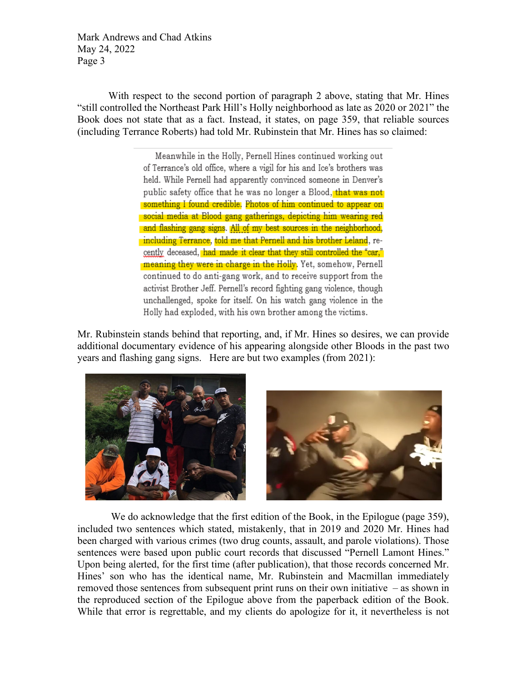Mark Andrews and Chad Atkins May 24, 2022 Page 3

With respect to the second portion of paragraph 2 above, stating that Mr. Hines "still controlled the Northeast Park Hill's Holly neighborhood as late as 2020 or 2021" the Book does not state that as a fact. Instead, it states, on page 359, that reliable sources (including Terrance Roberts) had told Mr. Rubinstein that Mr. Hines has so claimed:

> Meanwhile in the Holly, Pernell Hines continued working out of Terrance's old office, where a vigil for his and Ice's brothers was held. While Pernell had apparently convinced someone in Denver's public safety office that he was no longer a Blood, that was not something I found credible. Photos of him continued to appear on social media at Blood gang gatherings, depicting him wearing red and flashing gang signs. All of my best sources in the neighborhood, including Terrance, told me that Pernell and his brother Leland, recently deceased, had made it clear that they still controlled the "car." meaning they were in charge in the Holly. Yet, somehow, Pernell continued to do anti-gang work, and to receive support from the activist Brother Jeff. Pernell's record fighting gang violence, though unchallenged, spoke for itself. On his watch gang violence in the Holly had exploded, with his own brother among the victims.

Mr. Rubinstein stands behind that reporting, and, if Mr. Hines so desires, we can provide additional documentary evidence of his appearing alongside other Bloods in the past two years and flashing gang signs. Here are but two examples (from 2021):



We do acknowledge that the first edition of the Book, in the Epilogue (page 359), included two sentences which stated, mistakenly, that in 2019 and 2020 Mr. Hines had been charged with various crimes (two drug counts, assault, and parole violations). Those sentences were based upon public court records that discussed "Pernell Lamont Hines." Upon being alerted, for the first time (after publication), that those records concerned Mr. Hines' son who has the identical name, Mr. Rubinstein and Macmillan immediately removed those sentences from subsequent print runs on their own initiative – as shown in the reproduced section of the Epilogue above from the paperback edition of the Book. While that error is regrettable, and my clients do apologize for it, it nevertheless is not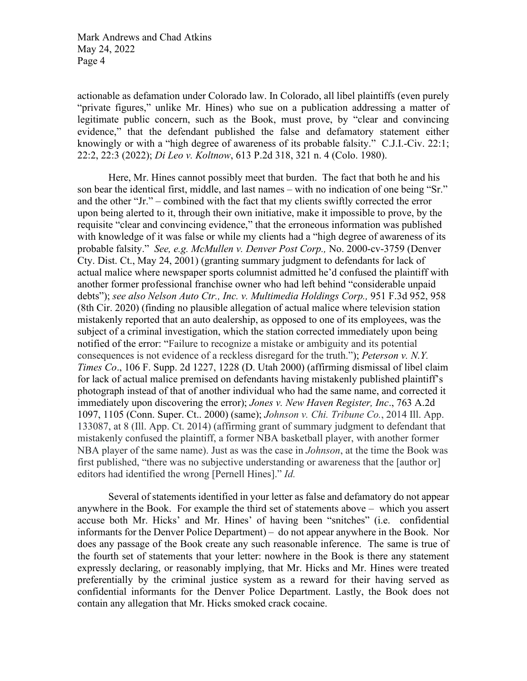Mark Andrews and Chad Atkins May 24, 2022 Page 4

actionable as defamation under Colorado law. In Colorado, all libel plaintiffs (even purely "private figures," unlike Mr. Hines) who sue on a publication addressing a matter of legitimate public concern, such as the Book, must prove, by "clear and convincing evidence," that the defendant published the false and defamatory statement either knowingly or with a "high degree of awareness of its probable falsity." C.J.I.-Civ. 22:1; 22:2, 22:3 (2022); *Di Leo v. Koltnow*, 613 P.2d 318, 321 n. 4 (Colo. 1980).

Here, Mr. Hines cannot possibly meet that burden. The fact that both he and his son bear the identical first, middle, and last names – with no indication of one being "Sr." and the other "Jr." – combined with the fact that my clients swiftly corrected the error upon being alerted to it, through their own initiative, make it impossible to prove, by the requisite "clear and convincing evidence," that the erroneous information was published with knowledge of it was false or while my clients had a "high degree of awareness of its probable falsity." *See, e.g. McMullen v. Denver Post Corp.,* No. 2000-cv-3759 (Denver Cty. Dist. Ct., May 24, 2001) (granting summary judgment to defendants for lack of actual malice where newspaper sports columnist admitted he'd confused the plaintiff with another former professional franchise owner who had left behind "considerable unpaid debts"); *see also Nelson Auto Ctr., Inc. v. Multimedia Holdings Corp.,* 951 F.3d 952, 958 (8th Cir. 2020) (finding no plausible allegation of actual malice where television station mistakenly reported that an auto dealership, as opposed to one of its employees, was the subject of a criminal investigation, which the station corrected immediately upon being notified of the error: "Failure to recognize a mistake or ambiguity and its potential consequences is not evidence of a reckless disregard for the truth."); *Peterson v. N.Y. Times Co*., 106 F. Supp. 2d 1227, 1228 (D. Utah 2000) (affirming dismissal of libel claim for lack of actual malice premised on defendants having mistakenly published plaintiff's photograph instead of that of another individual who had the same name, and corrected it immediately upon discovering the error); *Jones v. New Haven Register, Inc*., 763 A.2d 1097, 1105 (Conn. Super. Ct.. 2000) (same); *Johnson v. Chi. Tribune Co.*, 2014 Ill. App. 133087, at 8 (Ill. App. Ct. 2014) (affirming grant of summary judgment to defendant that mistakenly confused the plaintiff, a former NBA basketball player, with another former NBA player of the same name). Just as was the case in *Johnson*, at the time the Book was first published, "there was no subjective understanding or awareness that the [author or] editors had identified the wrong [Pernell Hines]." *Id.*

Several of statements identified in your letter as false and defamatory do not appear anywhere in the Book. For example the third set of statements above – which you assert accuse both Mr. Hicks' and Mr. Hines' of having been "snitches" (i.e. confidential informants for the Denver Police Department) – do not appear anywhere in the Book. Nor does any passage of the Book create any such reasonable inference. The same is true of the fourth set of statements that your letter: nowhere in the Book is there any statement expressly declaring, or reasonably implying, that Mr. Hicks and Mr. Hines were treated preferentially by the criminal justice system as a reward for their having served as confidential informants for the Denver Police Department. Lastly, the Book does not contain any allegation that Mr. Hicks smoked crack cocaine.